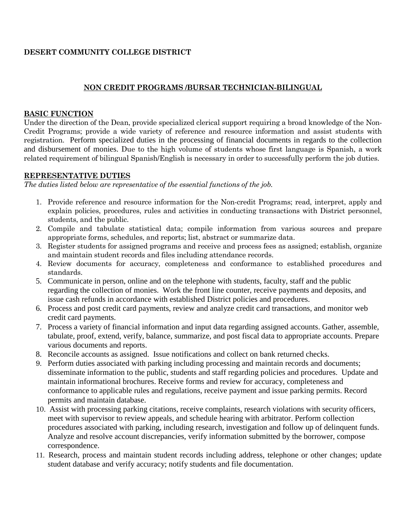## **DESERT COMMUNITY COLLEGE DISTRICT**

### **NON CREDIT PROGRAMS /BURSAR TECHNICIAN-BILINGUAL**

#### **BASIC FUNCTION**

Under the direction of the Dean, provide specialized clerical support requiring a broad knowledge of the Non-Credit Programs; provide a wide variety of reference and resource information and assist students with registration. Perform specialized duties in the processing of financial documents in regards to the collection and disbursement of monies. Due to the high volume of students whose first language is Spanish, a work related requirement of bilingual Spanish/English is necessary in order to successfully perform the job duties.

#### **REPRESENTATIVE DUTIES**

*The duties listed below are representative of the essential functions of the job.*

- 1. Provide reference and resource information for the Non-credit Programs; read, interpret, apply and explain policies, procedures, rules and activities in conducting transactions with District personnel, students, and the public.
- 2. Compile and tabulate statistical data; compile information from various sources and prepare appropriate forms, schedules, and reports; list, abstract or summarize data.
- 3. Register students for assigned programs and receive and process fees as assigned; establish, organize and maintain student records and files including attendance records.
- 4. Review documents for accuracy, completeness and conformance to established procedures and standards.
- 5. Communicate in person, online and on the telephone with students, faculty, staff and the public regarding the collection of monies. Work the front line counter, receive payments and deposits, and issue cash refunds in accordance with established District policies and procedures.
- 6. Process and post credit card payments, review and analyze credit card transactions, and monitor web credit card payments.
- 7. Process a variety of financial information and input data regarding assigned accounts. Gather, assemble, tabulate, proof, extend, verify, balance, summarize, and post fiscal data to appropriate accounts. Prepare various documents and reports.
- 8. Reconcile accounts as assigned. Issue notifications and collect on bank returned checks.
- 9. Perform duties associated with parking including processing and maintain records and documents; disseminate information to the public, students and staff regarding policies and procedures. Update and maintain informational brochures. Receive forms and review for accuracy, completeness and conformance to applicable rules and regulations, receive payment and issue parking permits. Record permits and maintain database.
- 10. Assist with processing parking citations, receive complaints, research violations with security officers, meet with supervisor to review appeals, and schedule hearing with arbitrator. Perform collection procedures associated with parking, including research, investigation and follow up of delinquent funds. Analyze and resolve account discrepancies, verify information submitted by the borrower, compose correspondence.
- 11. Research, process and maintain student records including address, telephone or other changes; update student database and verify accuracy; notify students and file documentation.